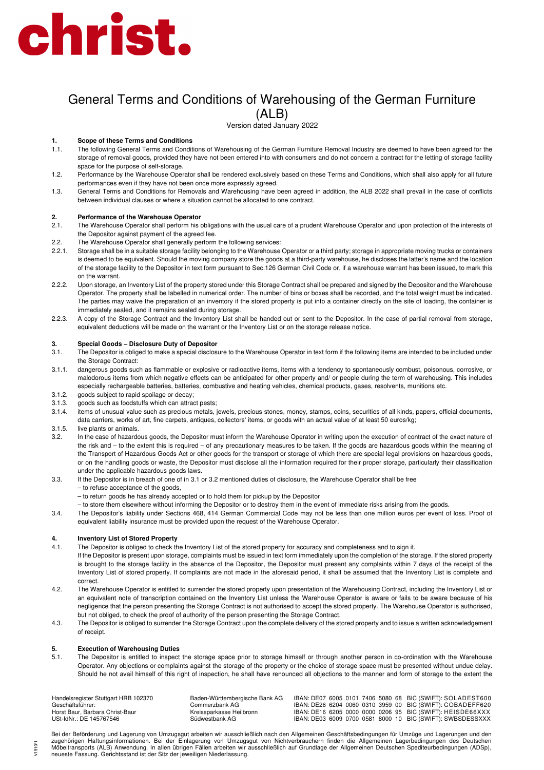# christ.

# General Terms and Conditions of Warehousing of the German Furniture (ALB)

Version dated January 2022

### **1. Scope of these Terms and Conditions**

- 1.1. The following General Terms and Conditions of Warehousing of the German Furniture Removal Industry are deemed to have been agreed for the storage of removal goods, provided they have not been entered into with consumers and do not concern a contract for the letting of storage facility space for the purpose of self-storage.
- 1.2. Performance by the Warehouse Operator shall be rendered exclusively based on these Terms and Conditions, which shall also apply for all future performances even if they have not been once more expressly agreed.
- 1.3. General Terms and Conditions for Removals and Warehousing have been agreed in addition, the ALB 2022 shall prevail in the case of conflicts between individual clauses or where a situation cannot be allocated to one contract.

### **2. Performance of the Warehouse Operator**

- 2.1. The Warehouse Operator shall perform his obligations with the usual care of a prudent Warehouse Operator and upon protection of the interests of the Depositor against payment of the agreed fee.
- 2.2. The Warehouse Operator shall generally perform the following services:
- 2.2.1. Storage shall be in a suitable storage facility belonging to the Warehouse Operator or a third party; storage in appropriate moving trucks or containers is deemed to be equivalent. Should the moving company store the goods at a third-party warehouse, he discloses the latter's name and the location of the storage facility to the Depositor in text form pursuant to Sec.126 German Civil Code or, if a warehouse warrant has been issued, to mark this on the warrant.
- 2.2.2. Upon storage, an Inventory List of the property stored under this Storage Contract shall be prepared and signed by the Depositor and the Warehouse Operator. The property shall be labelled in numerical order. The number of bins or boxes shall be recorded, and the total weight must be indicated. The parties may waive the preparation of an inventory if the stored property is put into a container directly on the site of loading, the container is immediately sealed, and it remains sealed during storage.
- 2.2.3. A copy of the Storage Contract and the Inventory List shall be handed out or sent to the Depositor. In the case of partial removal from storage, equivalent deductions will be made on the warrant or the Inventory List or on the storage release notice.

### **3. Special Goods – Disclosure Duty of Depositor**

- 3.1. The Depositor is obliged to make a special disclosure to the Warehouse Operator in text form if the following items are intended to be included under the Storage Contract:
- 3.1.1. dangerous goods such as flammable or explosive or radioactive items, items with a tendency to spontaneously combust, poisonous, corrosive, or malodorous items from which negative effects can be anticipated for other property and/ or people during the term of warehousing. This includes especially rechargeable batteries, batteries, combustive and heating vehicles, chemical products, gases, resolvents, munitions etc.
- 3.1.2. goods subject to rapid spoilage or decay;
- 3.1.3. goods such as foodstuffs which can attract pests;
- 3.1.4. items of unusual value such as precious metals, jewels, precious stones, money, stamps, coins, securities of all kinds, papers, official documents, data carriers, works of art, fine carpets, antiques, collectors' items, or goods with an actual value of at least 50 euros/kg;
- 3.1.5. live plants or animals.
- 3.2. In the case of hazardous goods, the Depositor must inform the Warehouse Operator in writing upon the execution of contract of the exact nature of the risk and – to the extent this is required – of any precautionary measures to be taken. If the goods are hazardous goods within the meaning of the Transport of Hazardous Goods Act or other goods for the transport or storage of which there are special legal provisions on hazardous goods, or on the handling goods or waste, the Depositor must disclose all the information required for their proper storage, particularly their classification under the applicable hazardous goods laws.
- 3.3. If the Depositor is in breach of one of in 3.1 or 3.2 mentioned duties of disclosure, the Warehouse Operator shall be free

– to refuse acceptance of the goods,

- to return goods he has already accepted or to hold them for pickup by the Depositor
- to store them elsewhere without informing the Depositor or to destroy them in the event of immediate risks arising from the goods.
- 3.4. The Depositor's liability under Sections 468, 414 German Commercial Code may not be less than one million euros per event of loss. Proof of equivalent liability insurance must be provided upon the request of the Warehouse Operator.

## **4. Inventory List of Stored Property**

- 4.1. The Depositor is obliged to check the Inventory List of the stored property for accuracy and completeness and to sign it.
- If the Depositor is present upon storage, complaints must be issued in text form immediately upon the completion of the storage. If the stored property is brought to the storage facility in the absence of the Depositor, the Depositor must present any complaints within 7 days of the receipt of the Inventory List of stored property. If complaints are not made in the aforesaid period, it shall be assumed that the Inventory List is complete and correct.
- 4.2. The Warehouse Operator is entitled to surrender the stored property upon presentation of the Warehousing Contract, including the Inventory List or an equivalent note of transcription contained on the Inventory List unless the Warehouse Operator is aware or fails to be aware because of his negligence that the person presenting the Storage Contract is not authorised to accept the stored property. The Warehouse Operator is authorised, but not obliged, to check the proof of authority of the person presenting the Storage Contract.
- 4.3. The Depositor is obliged to surrender the Storage Contract upon the complete delivery of the stored property and to issue a written acknowledgement of receipt.

### **5. Execution of Warehousing Duties**

V1910/1

5.1. The Depositor is entitled to inspect the storage space prior to storage himself or through another person in co-ordination with the Warehouse Operator. Any objections or complaints against the storage of the property or the choice of storage space must be presented without undue delay. Should he not avail himself of this right of inspection, he shall have renounced all objections to the manner and form of storage to the extent the

| Handelsregister Stuttgart HRB 102370 | Baden-Württembergische Bank AG |  |  |  | IBAN: DE07 6005 0101 7406 5080 68 BIC (SWIFT): SOLADEST600 |
|--------------------------------------|--------------------------------|--|--|--|------------------------------------------------------------|
| Geschäftsführer:                     | Commerzbank AG.                |  |  |  | IBAN: DE26 6204 0060 0310 3959 00 BIC (SWIFT): COBADEFF620 |
| Horst Baur, Barbara Christ-Baur      | Kreissparkasse Heilbronn       |  |  |  | IBAN: DE16 6205 0000 0000 0206 95 BIC (SWIFT): HEISDE66XXX |
| USt-IdNr.: DE 145767546              | Südwestbank AG                 |  |  |  | IBAN: DE03 6009 0700 0581 8000 10 BIC (SWIFT): SWBSDESSXXX |

Bei der Beförderung und Lagerung von Umzugsgut arbeiten wir ausschließlich nach den Allgemeinen Geschäftsbedingungen für Umzüge und Lagerungen und den zugehörigen Haftungsinformationen. Bei der Einlagerung von Umzugsgut von Nichtverbrauchern finden die Allgemeinen Lagerbedingungen des Deutschen Möbeltransports (ALB) Anwendung. In allen übrigen Fällen arbeiten wir ausschließlich auf Grundlage der Allgemeinen Deutschen Spediteurbedingungen (ADSp), neueste Fassung. Gerichtsstand ist der Sitz der jeweiligen Niederlassung.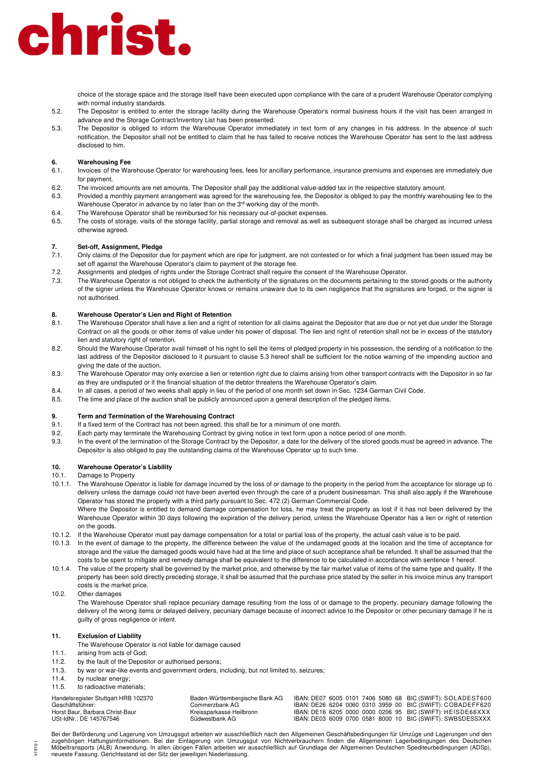# christ.

choice of the storage space and the storage itself have been executed upon compliance with the care of a prudent Warehouse Operator complying with normal industry standards

- 5.2. The Depositor is entitled to enter the storage facility during the Warehouse Operator's normal business hours if the visit has been arranged in advance and the Storage Contract/Inventory List has been presented.
- 5.3. The Depositor is obliged to inform the Warehouse Operator immediately in text form of any changes in his address. In the absence of such notification, the Depositor shall not be entitled to claim that he has failed to receive notices the Warehouse Operator has sent to the last address disclosed to him.

### **6. Warehousing Fee**

- 6.1. Invoices of the Warehouse Operator for warehousing fees, fees for ancillary performance, insurance premiums and expenses are immediately due for payment.
- 6.2. The invoiced amounts are net amounts. The Depositor shall pay the additional value-added tax in the respective statutory amount.
- 6.3. Provided a monthly payment arrangement was agreed for the warehousing fee, the Depositor is obliged to pay the monthly warehousing fee to the Warehouse Operator in advance by no later than on the 3rd working day of the month.
- 6.4. The Warehouse Operator shall be reimbursed for his necessary out-of-pocket expenses.
- 6.5. The costs of storage, visits of the storage facility, partial storage and removal as well as subsequent storage shall be charged as incurred unless otherwise agreed.

# **7. Set-off, Assignment, Pledge**

- 7.1. Only claims of the Depositor due for payment which are ripe for judgment, are not contested or for which a final judgment has been issued may be set off against the Warehouse Operator's claim to payment of the storage fee.
- 7.2. Assignments and pledges of rights under the Storage Contract shall require the consent of the Warehouse Operator.
- 7.3. The Warehouse Operator is not obliged to check the authenticity of the signatures on the documents pertaining to the stored goods or the authority of the signer unless the Warehouse Operator knows or remains unaware due to its own negligence that the signatures are forged, or the signer is not authorised.

### **8. Warehouse Operator's Lien and Right of Retention**

- 8.1. The Warehouse Operator shall have a lien and a right of retention for all claims against the Depositor that are due or not yet due under the Storage Contract on all the goods or other items of value under his power of disposal. The lien and right of retention shall not be in excess of the statutory lien and statutory right of retention.
- 8.2. Should the Warehouse Operator avail himself of his right to sell the items of pledged property in his possession, the sending of a notification to the last address of the Depositor disclosed to it pursuant to clause 5.3 hereof shall be sufficient for the notice warning of the impending auction and giving the date of the auction.
- 8.3. The Warehouse Operator may only exercise a lien or retention right due to claims arising from other transport contracts with the Depositor in so far as they are undisputed or if the financial situation of the debtor threatens the Warehouse Operator's claim.
- 8.4. In all cases, a period of two weeks shall apply in lieu of the period of one month set down in Sec. 1234 German Civil Code.
- 8.5. The time and place of the auction shall be publicly announced upon a general description of the pledged items.

### **9. Term and Termination of the Warehousing Contract**

- 9.1. If a fixed term of the Contract has not been agreed, this shall be for a minimum of one month.
- 9.2. Each party may terminate the Warehousing Contract by giving notice in text form upon a notice period of one month.
- 9.3. In the event of the termination of the Storage Contract by the Depositor, a date for the delivery of the stored goods must be agreed in advance. The Depositor is also obliged to pay the outstanding claims of the Warehouse Operator up to such time.

# **10. Warehouse Operator's Liability**

- 10.1. Damage to Property
- 10.1.1. The Warehouse Operator is liable for damage incurred by the loss of or damage to the property in the period from the acceptance for storage up to delivery unless the damage could not have been averted even through the care of a prudent businessman. This shall also apply if the Warehouse Operator has stored the property with a third party pursuant to Sec. 472 (2) German Commercial Code.

Where the Depositor is entitled to demand damage compensation for loss, he may treat the property as lost if it has not been delivered by the Warehouse Operator within 30 days following the expiration of the delivery period, unless the Warehouse Operator has a lien or right of retention on the goods.

- 10.1.2. If the Warehouse Operator must pay damage compensation for a total or partial loss of the property, the actual cash value is to be paid.
- 10.1.3. In the event of damage to the property, the difference between the value of the undamaged goods at the location and the time of acceptance for storage and the value the damaged goods would have had at the time and place of such acceptance shall be refunded. It shall be assumed that the costs to be spent to mitigate and remedy damage shall be equivalent to the difference to be calculated in accordance with sentence 1 hereof.
- 10.1.4. The value of the property shall be governed by the market price, and otherwise by the fair market value of items of the same type and quality. If the property has been sold directly preceding storage, it shall be assumed that the purchase price stated by the seller in his invoice minus any transport costs is the market price.

### 10.2. Other damages

The Warehouse Operator shall replace pecuniary damage resulting from the loss of or damage to the property, pecuniary damage following the delivery of the wrong items or delayed delivery, pecuniary damage because of incorrect advice to the Depositor or other pecuniary damage if he is guilty of gross negligence or intent.

# **11. Exclusion of Liability**

- The Warehouse Operator is not liable for damage caused
- 11.1. arising from acts of God;
- 11.2. by the fault of the Depositor or authorised persons;
- 11.3. by war or war-like events and government orders, including, but not limited to, seizures;
- 11.4. by nuclear energy:

 $V1910'$ 

11.5 to radioactive materials;

| Handelsregister Stuttgart HRB 102370 | Baden-Württembergische Bank AG |  | IBAN: DE07 6005 0101 7406 5080 68 BIC (SWIFT): SOLADEST600 |
|--------------------------------------|--------------------------------|--|------------------------------------------------------------|
| Geschäftsführer:                     | Commerzbank AG.                |  | IBAN: DE26 6204 0060 0310 3959 00 BIC (SWIFT): COBADEFF620 |
| Horst Baur, Barbara Christ-Baur      | Kreissparkasse Heilbronn       |  | IBAN: DE16 6205 0000 0000 0206 95 BIC (SWIFT): HEISDE66XXX |
| USt-IdNr.: DE 145767546              | Südwestbank AG                 |  | IBAN: DE03 6009 0700 0581 8000 10 BIC (SWIFT): SWBSDESSXXX |

Bei der Beförderung und Lagerung von Umzugsgut arbeiten wir ausschließlich nach den Allgemeinen Geschäftsbedingungen für Umzüge und Lagerungen und den zugehörigen Haftungsinformationen. Bei der Einlagerung von Umzugsgut von Nichtverbrauchern finden die Allgemeinen Lagerbedingungen des Deutschen Möbeltransports (ALB) Anwendung. In allen übrigen Fällen arbeiten wir ausschließlich auf Grundlage der Allgemeinen Deutschen Spediteurbedingungen (ADSp), neueste Fassung. Gerichtsstand ist der Sitz der jeweiligen Niederlassung.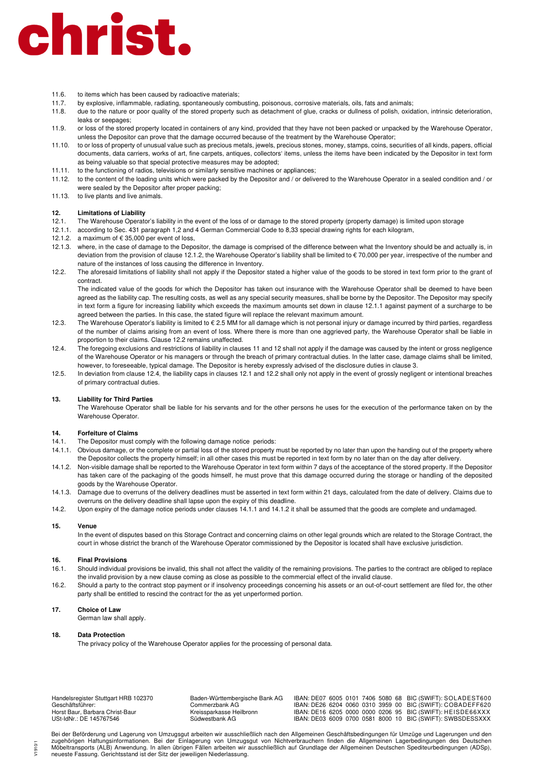# christ.

- 11.6. to items which has been caused by radioactive materials;
- 11.7. by explosive, inflammable, radiating, spontaneously combusting, poisonous, corrosive materials, oils, fats and animals;
- 11.8. due to the nature or poor quality of the stored property such as detachment of glue, cracks or dullness of polish, oxidation, intrinsic deterioration, leaks or seepages;
- 11.9. or loss of the stored property located in containers of any kind, provided that they have not been packed or unpacked by the Warehouse Operator, unless the Depositor can prove that the damage occurred because of the treatment by the Warehouse Operator;
- 11.10. to or loss of property of unusual value such as precious metals, jewels, precious stones, money, stamps, coins, securities of all kinds, papers, official documents, data carriers, works of art, fine carpets, antiques, collectors' items, unless the items have been indicated by the Depositor in text form as being valuable so that special protective measures may be adopted;
- 11.11. to the functioning of radios, televisions or similarly sensitive machines or appliances;
- 11.12. to the content of the loading units which were packed by the Depositor and / or delivered to the Warehouse Operator in a sealed condition and / or were sealed by the Depositor after proper packing;
- 11.13. to live plants and live animals.

### **12. Limitations of Liability**

- 12.1. The Warehouse Operator's liability in the event of the loss of or damage to the stored property (property damage) is limited upon storage
- 12.1.1. according to Sec. 431 paragraph 1,2 and 4 German Commercial Code to 8,33 special drawing rights for each kilogram,
- 12.1.2. a maximum of  $\epsilon$  35,000 per event of loss.
- 12.1.3. where, in the case of damage to the Depositor, the damage is comprised of the difference between what the Inventory should be and actually is, in deviation from the provision of clause 12.1.2, the Warehouse Operator's liability shall be limited to € 70,000 per year, irrespective of the number and nature of the instances of loss causing the difference in Inventory.
- 12.2. The aforesaid limitations of liability shall not apply if the Depositor stated a higher value of the goods to be stored in text form prior to the grant of contract.

The indicated value of the goods for which the Depositor has taken out insurance with the Warehouse Operator shall be deemed to have been agreed as the liability cap. The resulting costs, as well as any special security measures, shall be borne by the Depositor. The Depositor may specify in text form a figure for increasing liability which exceeds the maximum amounts set down in clause 12.1.1 against payment of a surcharge to be agreed between the parties. In this case, the stated figure will replace the relevant maximum amount.

- 12.3. The Warehouse Operator's liability is limited to € 2.5 MM for all damage which is not personal injury or damage incurred by third parties, regardless of the number of claims arising from an event of loss. Where there is more than one aggrieved party, the Warehouse Operator shall be liable in proportion to their claims. Clause 12.2 remains unaffected.
- 12.4. The foregoing exclusions and restrictions of liability in clauses 11 and 12 shall not apply if the damage was caused by the intent or gross negligence of the Warehouse Operator or his managers or through the breach of primary contractual duties. In the latter case, damage claims shall be limited, however, to foreseeable, typical damage. The Depositor is hereby expressly advised of the disclosure duties in clause 3.
- 12.5. In deviation from clause 12.4, the liability caps in clauses 12.1 and 12.2 shall only not apply in the event of grossly negligent or intentional breaches of primary contractual duties.

### **13. Liability for Third Parties**

The Warehouse Operator shall be liable for his servants and for the other persons he uses for the execution of the performance taken on by the Warehouse Operator.

### **14. Forfeiture of Claims**

- 14.1. The Depositor must comply with the following damage notice periods:
- 14.1.1. Obvious damage, or the complete or partial loss of the stored property must be reported by no later than upon the handing out of the property where the Depositor collects the property himself; in all other cases this must be reported in text form by no later than on the day after delivery.
- 14.1.2. Non-visible damage shall be reported to the Warehouse Operator in text form within 7 days of the acceptance of the stored property. If the Depositor has taken care of the packaging of the goods himself, he must prove that this damage occurred during the storage or handling of the deposited goods by the Warehouse Operator.
- 14.1.3. Damage due to overruns of the delivery deadlines must be asserted in text form within 21 days, calculated from the date of delivery. Claims due to overruns on the delivery deadline shall lapse upon the expiry of this deadline.
- 14.2. Upon expiry of the damage notice periods under clauses 14.1.1 and 14.1.2 it shall be assumed that the goods are complete and undamaged.

### **15. Venue**

In the event of disputes based on this Storage Contract and concerning claims on other legal grounds which are related to the Storage Contract, the court in whose district the branch of the Warehouse Operator commissioned by the Depositor is located shall have exclusive jurisdiction.

### **16. Final Provisions**

- 16.1. Should individual provisions be invalid, this shall not affect the validity of the remaining provisions. The parties to the contract are obliged to replace the invalid provision by a new clause coming as close as possible to the commercial effect of the invalid clause.
- 16.2. Should a party to the contract stop payment or if insolvency proceedings concerning his assets or an out-of-court settlement are filed for, the other party shall be entitled to rescind the contract for the as yet unperformed portion.

### **17. Choice of Law**

German law shall apply.

### **18. Data Protection**

V1910/1

The privacy policy of the Warehouse Operator applies for the processing of personal data.

| Handelsregister Stuttgart HRB 102370 | Baden-Württembergische Bank AG |  |  |  | IBAN: DE07 6005 0101 7406 5080 68 BIC (SWIFT): SOLADEST600 |
|--------------------------------------|--------------------------------|--|--|--|------------------------------------------------------------|
| Geschäftsführer:                     | Commerzbank AG.                |  |  |  | IBAN: DE26 6204 0060 0310 3959 00 BIC (SWIFT): COBADEFF620 |
| Horst Baur, Barbara Christ-Baur      | Kreissparkasse Heilbronn       |  |  |  | IBAN: DE16 6205 0000 0000 0206 95 BIC (SWIFT): HEISDE66XXX |
| USt-IdNr.: DE 145767546              | Südwestbank AG                 |  |  |  | IBAN: DE03 6009 0700 0581 8000 10 BIC (SWIFT): SWBSDESSXXX |